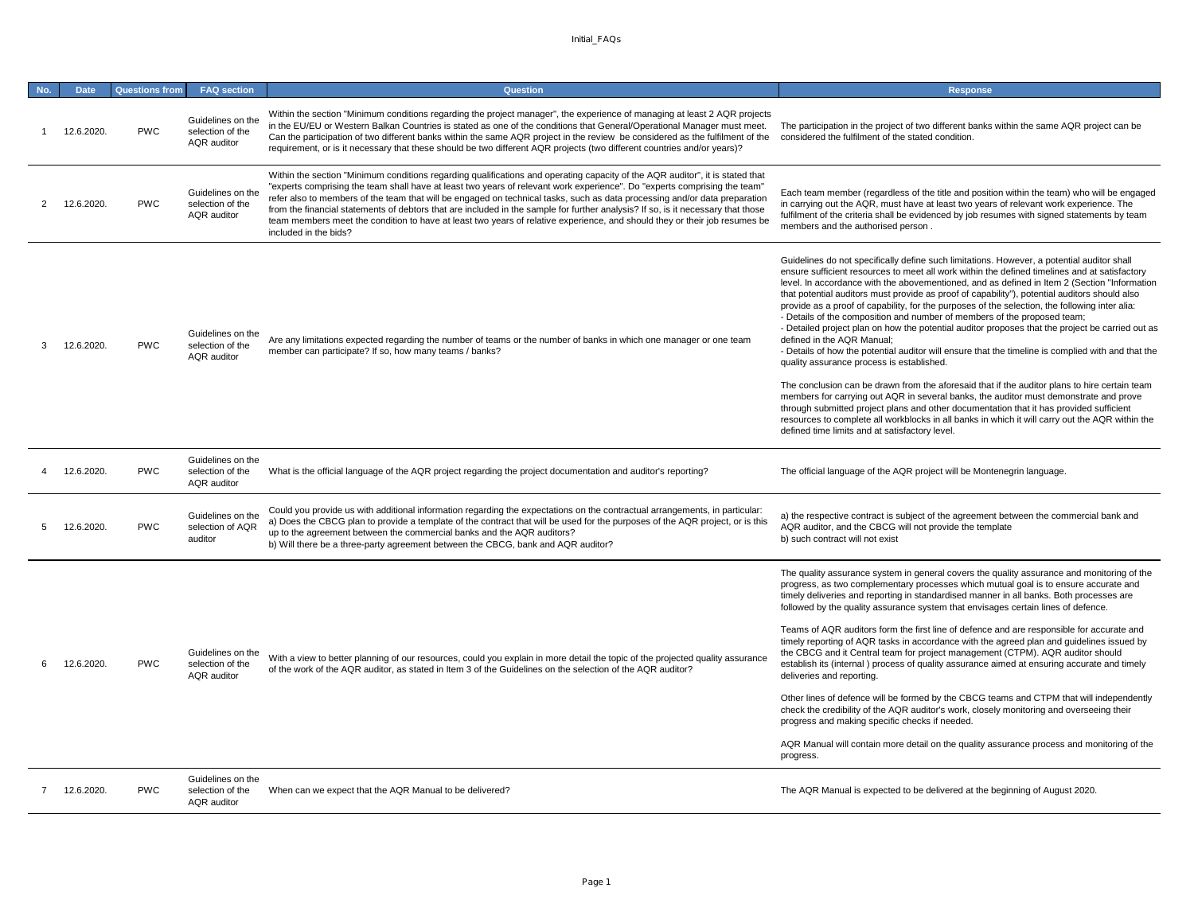| No. | <b>Date</b> | <b>Questions from</b> | <b>FAQ</b> section                                          | <b>Question</b>                                                                                                                                                                                                                                                                                                                                                                                                                                                                                                                                                                                                                                                                     | <b>Response</b>                                                                                                                                                                                                                                                                                                                                                                                                                                                                                                                                                                                                                                                                                                                                                                                                                                                                                                                                                                                                                                                                                                                                                                                                                                                                                           |
|-----|-------------|-----------------------|-------------------------------------------------------------|-------------------------------------------------------------------------------------------------------------------------------------------------------------------------------------------------------------------------------------------------------------------------------------------------------------------------------------------------------------------------------------------------------------------------------------------------------------------------------------------------------------------------------------------------------------------------------------------------------------------------------------------------------------------------------------|-----------------------------------------------------------------------------------------------------------------------------------------------------------------------------------------------------------------------------------------------------------------------------------------------------------------------------------------------------------------------------------------------------------------------------------------------------------------------------------------------------------------------------------------------------------------------------------------------------------------------------------------------------------------------------------------------------------------------------------------------------------------------------------------------------------------------------------------------------------------------------------------------------------------------------------------------------------------------------------------------------------------------------------------------------------------------------------------------------------------------------------------------------------------------------------------------------------------------------------------------------------------------------------------------------------|
|     | 12.6.2020.  | <b>PWC</b>            | Guidelines on the<br>selection of the<br>AQR auditor        | Within the section "Minimum conditions regarding the project manager", the experience of managing at least 2 AQR projects<br>in the EU/EU or Western Balkan Countries is stated as one of the conditions that General/Operational Manager must meet.<br>Can the participation of two different banks within the same AQR project in the review be considered as the fulfilment of the<br>requirement, or is it necessary that these should be two different AQR projects (two different countries and/or years)?                                                                                                                                                                    | The participation in the project of two different banks within the same AQR project can be<br>considered the fulfilment of the stated condition.                                                                                                                                                                                                                                                                                                                                                                                                                                                                                                                                                                                                                                                                                                                                                                                                                                                                                                                                                                                                                                                                                                                                                          |
|     | 12.6.2020.  | <b>PWC</b>            | Guidelines on the<br>selection of the<br>AQR auditor        | Within the section "Minimum conditions regarding qualifications and operating capacity of the AQR auditor", it is stated that<br>"experts comprising the team shall have at least two years of relevant work experience". Do "experts comprising the team"<br>refer also to members of the team that will be engaged on technical tasks, such as data processing and/or data preparation<br>from the financial statements of debtors that are included in the sample for further analysis? If so, is it necessary that those<br>team members meet the condition to have at least two years of relative experience, and should they or their job resumes be<br>included in the bids? | Each team member (regardless of the title and position within the team) who will be engaged<br>in carrying out the AQR, must have at least two years of relevant work experience. The<br>fulfilment of the criteria shall be evidenced by job resumes with signed statements by team<br>members and the authorised person.                                                                                                                                                                                                                                                                                                                                                                                                                                                                                                                                                                                                                                                                                                                                                                                                                                                                                                                                                                                |
|     | 12.6.2020.  | <b>PWC</b>            | Guidelines on the<br>selection of the<br><b>AQR</b> auditor | Are any limitations expected regarding the number of teams or the number of banks in which one manager or one team<br>member can participate? If so, how many teams / banks?                                                                                                                                                                                                                                                                                                                                                                                                                                                                                                        | Guidelines do not specifically define such limitations. However, a potential auditor shall<br>ensure sufficient resources to meet all work within the defined timelines and at satisfactory<br>level. In accordance with the abovementioned, and as defined in Item 2 (Section "Information<br>that potential auditors must provide as proof of capability"), potential auditors should also<br>provide as a proof of capability, for the purposes of the selection, the following inter alia:<br>- Details of the composition and number of members of the proposed team;<br>- Detailed project plan on how the potential auditor proposes that the project be carried out as<br>defined in the AQR Manual;<br>- Details of how the potential auditor will ensure that the timeline is complied with and that the<br>quality assurance process is established.<br>The conclusion can be drawn from the aforesaid that if the auditor plans to hire certain team<br>members for carrying out AQR in several banks, the auditor must demonstrate and prove<br>through submitted project plans and other documentation that it has provided sufficient<br>resources to complete all workblocks in all banks in which it will carry out the AQR within the<br>defined time limits and at satisfactory level. |
|     | 12.6.2020.  | <b>PWC</b>            | Guidelines on the<br>selection of the<br><b>AQR</b> auditor | What is the official language of the AQR project regarding the project documentation and auditor's reporting?                                                                                                                                                                                                                                                                                                                                                                                                                                                                                                                                                                       | The official language of the AQR project will be Montenegrin language.                                                                                                                                                                                                                                                                                                                                                                                                                                                                                                                                                                                                                                                                                                                                                                                                                                                                                                                                                                                                                                                                                                                                                                                                                                    |
|     | 12.6.2020.  | <b>PWC</b>            | Guidelines on the<br>selection of AQR<br>auditor            | Could you provide us with additional information regarding the expectations on the contractual arrangements, in particular:<br>a) Does the CBCG plan to provide a template of the contract that will be used for the purposes of the AQR project, or is this<br>up to the agreement between the commercial banks and the AQR auditors?<br>b) Will there be a three-party agreement between the CBCG, bank and AQR auditor?                                                                                                                                                                                                                                                          | a) the respective contract is subject of the agreement between the commercial bank and<br>AQR auditor, and the CBCG will not provide the template<br>b) such contract will not exist                                                                                                                                                                                                                                                                                                                                                                                                                                                                                                                                                                                                                                                                                                                                                                                                                                                                                                                                                                                                                                                                                                                      |
|     | 12.6.2020.  | <b>PWC</b>            | Guidelines on the<br>selection of the<br><b>AQR</b> auditor | With a view to better planning of our resources, could you explain in more detail the topic of the projected quality assurance<br>of the work of the AQR auditor, as stated in Item 3 of the Guidelines on the selection of the AQR auditor?                                                                                                                                                                                                                                                                                                                                                                                                                                        | The quality assurance system in general covers the quality assurance and monitoring of the<br>progress, as two complementary processes which mutual goal is to ensure accurate and<br>timely deliveries and reporting in standardised manner in all banks. Both processes are<br>followed by the quality assurance system that envisages certain lines of defence.<br>Teams of AQR auditors form the first line of defence and are responsible for accurate and<br>timely reporting of AQR tasks in accordance with the agreed plan and guidelines issued by<br>the CBCG and it Central team for project management (CTPM). AQR auditor should<br>establish its (internal) process of quality assurance aimed at ensuring accurate and timely<br>deliveries and reporting.<br>Other lines of defence will be formed by the CBCG teams and CTPM that will independently<br>check the credibility of the AQR auditor's work, closely monitoring and overseeing their<br>progress and making specific checks if needed.<br>AQR Manual will contain more detail on the quality assurance process and monitoring of the<br>progress.                                                                                                                                                                           |
|     | 12.6.2020.  | <b>PWC</b>            | Guidelines on the<br>selection of the<br><b>AQR</b> auditor | When can we expect that the AQR Manual to be delivered?                                                                                                                                                                                                                                                                                                                                                                                                                                                                                                                                                                                                                             | The AQR Manual is expected to be delivered at the beginning of August 2020.                                                                                                                                                                                                                                                                                                                                                                                                                                                                                                                                                                                                                                                                                                                                                                                                                                                                                                                                                                                                                                                                                                                                                                                                                               |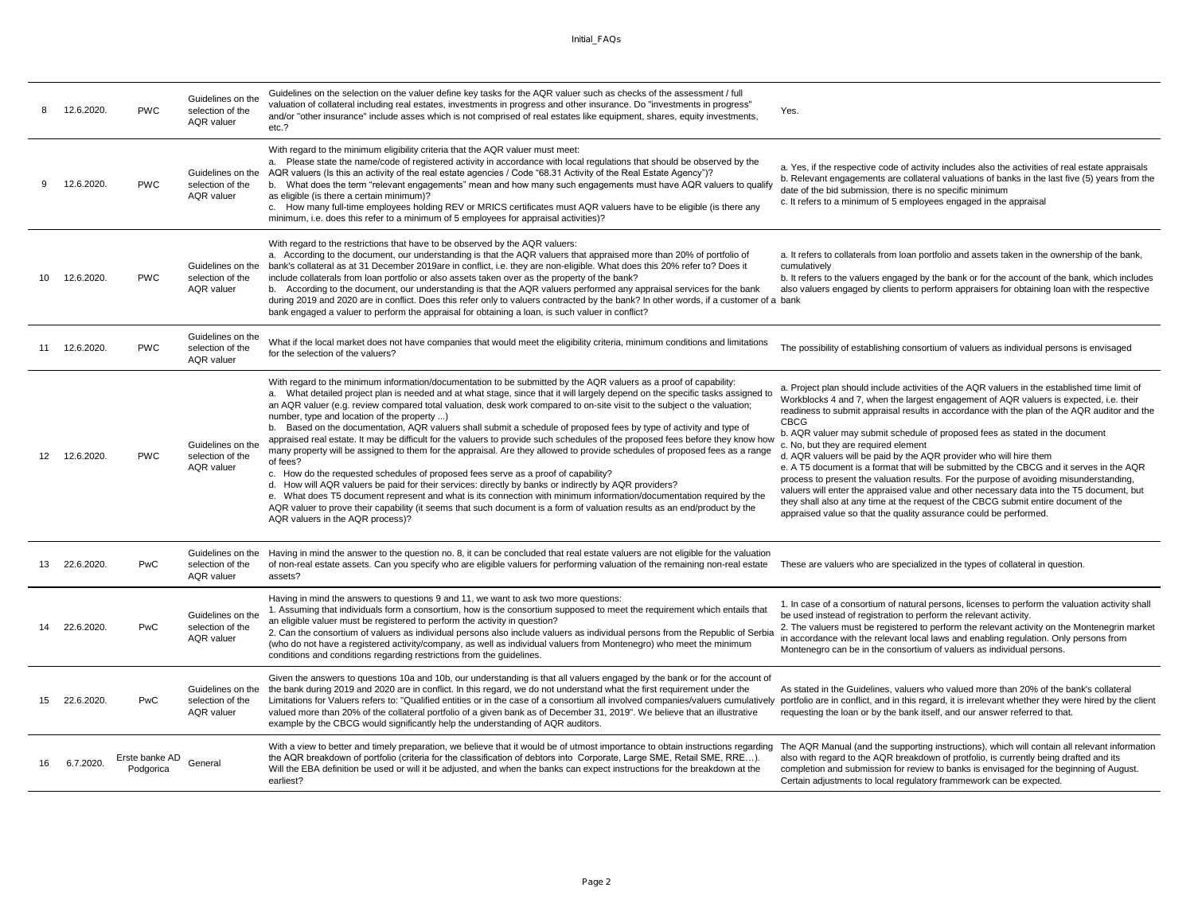|    | 12.6.2020. | <b>PWC</b>                  | Guidelines on the<br>selection of the<br>AQR valuer        | Guidelines on the selection on the valuer define key tasks for the AQR valuer such as checks of the assessment / full<br>valuation of collateral including real estates, investments in progress and other insurance. Do "investments in progress"<br>and/or "other insurance" include asses which is not comprised of real estates like equipment, shares, equity investments,<br>etc.?                                                                                                                                                                                                                                                                                                                                                                                                                                                                                                                                                                                                                                                                                                                                                                                                                                                                                                                                   | Yes.                                                                                                                                                                                                                                                                                                                                                                                                                                                                                                                                                                                                                                                                                                                                                                                                                                                                                                                                           |
|----|------------|-----------------------------|------------------------------------------------------------|----------------------------------------------------------------------------------------------------------------------------------------------------------------------------------------------------------------------------------------------------------------------------------------------------------------------------------------------------------------------------------------------------------------------------------------------------------------------------------------------------------------------------------------------------------------------------------------------------------------------------------------------------------------------------------------------------------------------------------------------------------------------------------------------------------------------------------------------------------------------------------------------------------------------------------------------------------------------------------------------------------------------------------------------------------------------------------------------------------------------------------------------------------------------------------------------------------------------------------------------------------------------------------------------------------------------------|------------------------------------------------------------------------------------------------------------------------------------------------------------------------------------------------------------------------------------------------------------------------------------------------------------------------------------------------------------------------------------------------------------------------------------------------------------------------------------------------------------------------------------------------------------------------------------------------------------------------------------------------------------------------------------------------------------------------------------------------------------------------------------------------------------------------------------------------------------------------------------------------------------------------------------------------|
|    | 12.6.2020. | <b>PWC</b>                  | Guidelines on the<br>selection of the<br>AQR valuer        | With regard to the minimum eligibility criteria that the AQR valuer must meet:<br>a. Please state the name/code of registered activity in accordance with local regulations that should be observed by the<br>AQR valuers (Is this an activity of the real estate agencies / Code "68.31 Activity of the Real Estate Agency")?<br>b. What does the term "relevant engagements" mean and how many such engagements must have AQR valuers to qualify<br>as eligible (is there a certain minimum)?<br>c. How many full-time employees holding REV or MRICS certificates must AQR valuers have to be eligible (is there any<br>minimum, i.e. does this refer to a minimum of 5 employees for appraisal activities)?                                                                                                                                                                                                                                                                                                                                                                                                                                                                                                                                                                                                            | a. Yes, if the respective code of activity includes also the activities of real estate appraisals<br>b. Relevant engagements are collateral valuations of banks in the last five (5) years from the<br>date of the bid submission, there is no specific minimum<br>c. It refers to a minimum of 5 employees engaged in the appraisal                                                                                                                                                                                                                                                                                                                                                                                                                                                                                                                                                                                                           |
| 10 | 12.6.2020. | <b>PWC</b>                  | Guidelines on the<br>selection of the<br><b>AQR</b> valuer | With regard to the restrictions that have to be observed by the AQR valuers:<br>a. According to the document, our understanding is that the AQR valuers that appraised more than 20% of portfolio of<br>bank's collateral as at 31 December 2019are in conflict, i.e. they are non-eligible. What does this 20% refer to? Does it<br>include collaterals from loan portfolio or also assets taken over as the property of the bank?<br>b. According to the document, our understanding is that the AQR valuers performed any appraisal services for the bank<br>during 2019 and 2020 are in conflict. Does this refer only to valuers contracted by the bank? In other words, if a customer of a bank<br>bank engaged a valuer to perform the appraisal for obtaining a loan, is such valuer in conflict?                                                                                                                                                                                                                                                                                                                                                                                                                                                                                                                  | a. It refers to collaterals from loan portfolio and assets taken in the ownership of the bank,<br>cumulatively<br>b. It refers to the valuers engaged by the bank or for the account of the bank, which includes<br>also valuers engaged by clients to perform appraisers for obtaining loan with the respective                                                                                                                                                                                                                                                                                                                                                                                                                                                                                                                                                                                                                               |
| 11 | 12.6.2020. | <b>PWC</b>                  | Guidelines on the<br>selection of the<br><b>AQR</b> valuer | What if the local market does not have companies that would meet the eligibility criteria, minimum conditions and limitations<br>for the selection of the valuers?                                                                                                                                                                                                                                                                                                                                                                                                                                                                                                                                                                                                                                                                                                                                                                                                                                                                                                                                                                                                                                                                                                                                                         | The possibility of establishing consortium of valuers as individual persons is envisaged                                                                                                                                                                                                                                                                                                                                                                                                                                                                                                                                                                                                                                                                                                                                                                                                                                                       |
| 12 | 12.6.2020. | <b>PWC</b>                  | Guidelines on the<br>selection of the<br><b>AOR</b> valuer | With regard to the minimum information/documentation to be submitted by the AQR valuers as a proof of capability:<br>a. What detailed project plan is needed and at what stage, since that it will largely depend on the specific tasks assigned to<br>an AQR valuer (e.g. review compared total valuation, desk work compared to on-site visit to the subject o the valuation;<br>number, type and location of the property )<br>b. Based on the documentation, AQR valuers shall submit a schedule of proposed fees by type of activity and type of<br>appraised real estate. It may be difficult for the valuers to provide such schedules of the proposed fees before they know how<br>many property will be assigned to them for the appraisal. Are they allowed to provide schedules of proposed fees as a range<br>of fees?<br>c. How do the requested schedules of proposed fees serve as a proof of capability?<br>d. How will AQR valuers be paid for their services: directly by banks or indirectly by AQR providers?<br>e. What does T5 document represent and what is its connection with minimum information/documentation required by the<br>AQR valuer to prove their capability (it seems that such document is a form of valuation results as an end/product by the<br>AQR valuers in the AQR process)? | a. Project plan should include activities of the AQR valuers in the established time limit of<br>Workblocks 4 and 7, when the largest engagement of AQR valuers is expected, i.e. their<br>readiness to submit appraisal results in accordance with the plan of the AQR auditor and the<br>CBCG<br>b. AQR valuer may submit schedule of proposed fees as stated in the document<br>c. No, but they are required element<br>d. AQR valuers will be paid by the AQR provider who will hire them<br>e. A T5 document is a format that will be submitted by the CBCG and it serves in the AQR<br>process to present the valuation results. For the purpose of avoiding misunderstanding,<br>valuers will enter the appraised value and other necessary data into the T5 document, but<br>they shall also at any time at the request of the CBCG submit entire document of the<br>appraised value so that the quality assurance could be performed. |
|    | 22.6.2020. | PwC                         | Guidelines on the<br>selection of the<br>AQR valuer        | Having in mind the answer to the question no. 8, it can be concluded that real estate valuers are not eligible for the valuation<br>of non-real estate assets. Can you specify who are eligible valuers for performing valuation of the remaining non-real estate<br>assets?                                                                                                                                                                                                                                                                                                                                                                                                                                                                                                                                                                                                                                                                                                                                                                                                                                                                                                                                                                                                                                               | These are valuers who are specialized in the types of collateral in question.                                                                                                                                                                                                                                                                                                                                                                                                                                                                                                                                                                                                                                                                                                                                                                                                                                                                  |
|    | 22.6.2020. | PwC                         | Guidelines on the<br>selection of the<br><b>AQR</b> valuer | Having in mind the answers to questions 9 and 11, we want to ask two more questions:<br>1. Assuming that individuals form a consortium, how is the consortium supposed to meet the requirement which entails that<br>an eligible valuer must be registered to perform the activity in question?<br>2. Can the consortium of valuers as individual persons also include valuers as individual persons from the Republic of Serbia<br>(who do not have a registered activity/company, as well as individual valuers from Montenegro) who meet the minimum<br>conditions and conditions regarding restrictions from the quidelines.                                                                                                                                                                                                                                                                                                                                                                                                                                                                                                                                                                                                                                                                                           | 1. In case of a consortium of natural persons, licenses to perform the valuation activity shall<br>be used instead of registration to perform the relevant activity.<br>2. The valuers must be registered to perform the relevant activity on the Montenegrin market<br>in accordance with the relevant local laws and enabling regulation. Only persons from<br>Montenegro can be in the consortium of valuers as individual persons.                                                                                                                                                                                                                                                                                                                                                                                                                                                                                                         |
|    | 22.6.2020. | PwC                         | Guidelines on the<br>selection of the<br>AQR valuer        | Given the answers to questions 10a and 10b, our understanding is that all valuers engaged by the bank or for the account of<br>the bank during 2019 and 2020 are in conflict. In this regard, we do not understand what the first requirement under the<br>Limitations for Valuers refers to: "Qualified entities or in the case of a consortium all involved companies/valuers cumulatively portfolio are in conflict, and in this regard, it is irrelevant whether they were hired by t<br>valued more than 20% of the collateral portfolio of a given bank as of December 31, 2019". We believe that an illustrative<br>example by the CBCG would significantly help the understanding of AQR auditors.                                                                                                                                                                                                                                                                                                                                                                                                                                                                                                                                                                                                                 | As stated in the Guidelines, valuers who valued more than 20% of the bank's collateral<br>requesting the loan or by the bank itself, and our answer referred to that.                                                                                                                                                                                                                                                                                                                                                                                                                                                                                                                                                                                                                                                                                                                                                                          |
|    | 6.7.2020.  | Erste banke AD<br>Podgorica | General                                                    | With a view to better and timely preparation, we believe that it would be of utmost importance to obtain instructions regarding<br>the AQR breakdown of portfolio (criteria for the classification of debtors into Corporate, Large SME, Retail SME, RRE).<br>Will the EBA definition be used or will it be adjusted, and when the banks can expect instructions for the breakdown at the<br>earliest?                                                                                                                                                                                                                                                                                                                                                                                                                                                                                                                                                                                                                                                                                                                                                                                                                                                                                                                     | The AQR Manual (and the supporting instructions), which will contain all relevant information<br>also with regard to the AQR breakdown of protfolio, is currently being drafted and its<br>completion and submission for review to banks is envisaged for the beginning of August.<br>Certain adjustments to local regulatory frammework can be expected.                                                                                                                                                                                                                                                                                                                                                                                                                                                                                                                                                                                      |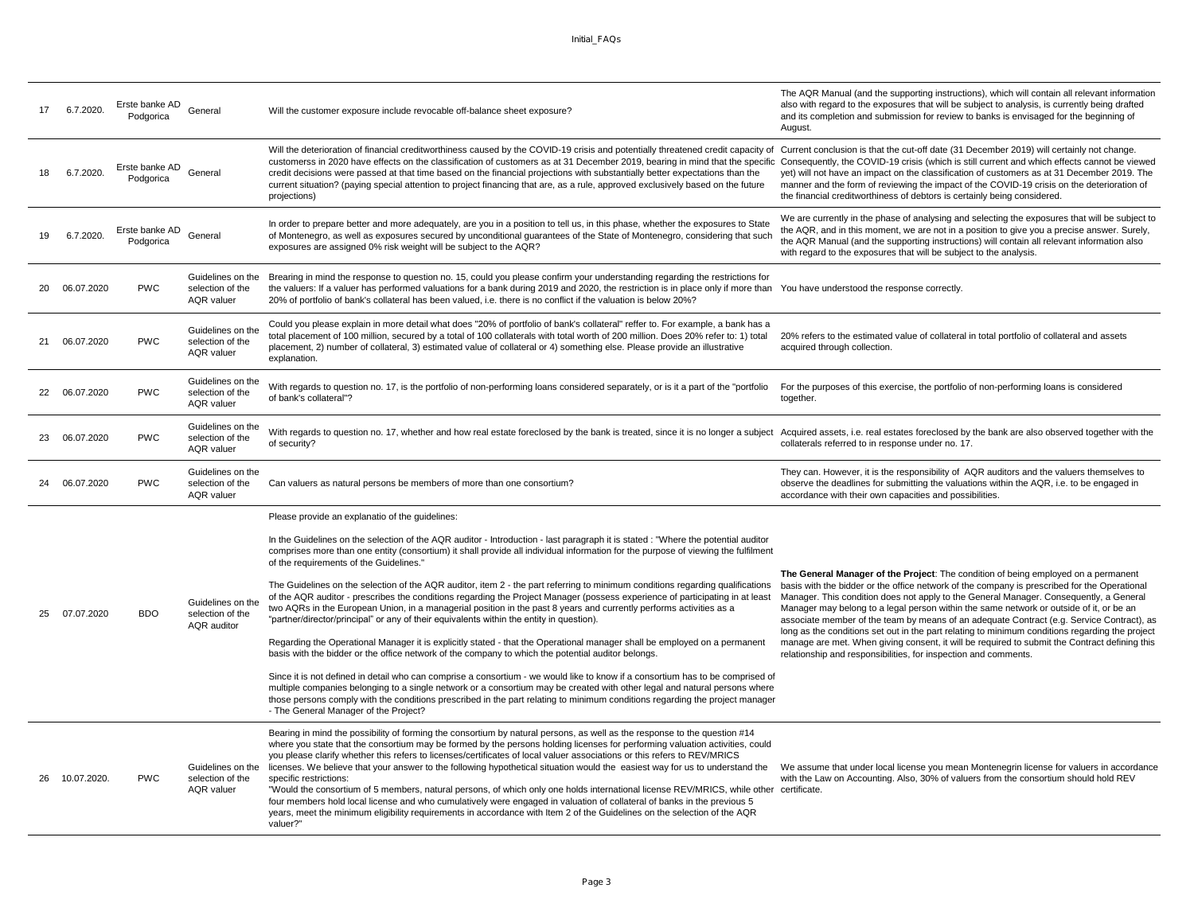|    | 6.7.2020.     | Erste banke AD<br>Podgorica | General                                                    | Will the customer exposure include revocable off-balance sheet exposure?                                                                                                                                                                                                                                                                                                                                                                                                                                                                                                                                                                                                                                                                   | The AQR Manual (and the supporting instructions), which will contain all relevant information<br>also with regard to the exposures that will be subject to analysis, is currently being drafted<br>and its completion and submission for review to banks is envisaged for the beginning of<br>August.                                                                                                                                                                |
|----|---------------|-----------------------------|------------------------------------------------------------|--------------------------------------------------------------------------------------------------------------------------------------------------------------------------------------------------------------------------------------------------------------------------------------------------------------------------------------------------------------------------------------------------------------------------------------------------------------------------------------------------------------------------------------------------------------------------------------------------------------------------------------------------------------------------------------------------------------------------------------------|----------------------------------------------------------------------------------------------------------------------------------------------------------------------------------------------------------------------------------------------------------------------------------------------------------------------------------------------------------------------------------------------------------------------------------------------------------------------|
|    | 6.7.2020.     | Erste banke AD<br>Podgorica | General                                                    | Will the deterioration of financial creditworthiness caused by the COVID-19 crisis and potentially threatened credit capacity of Current conclusion is that the cut-off date (31 December 2019) will certainly not change.<br>customerss in 2020 have effects on the classification of customers as at 31 December 2019, bearing in mind that the specific Consequently, the COVID-19 crisis (which is still current and which effects cannot be viewed<br>credit decisions were passed at that time based on the financial projections with substantially better expectations than the<br>current situation? (paying special attention to project financing that are, as a rule, approved exclusively based on the future<br>projections) | yet) will not have an impact on the classification of customers as at 31 December 2019. The<br>manner and the form of reviewing the impact of the COVID-19 crisis on the deterioration of<br>the financial creditworthiness of debtors is certainly being considered.                                                                                                                                                                                                |
| 19 | 6.7.2020.     | Erste banke AD<br>Podgorica | General                                                    | In order to prepare better and more adequately, are you in a position to tell us, in this phase, whether the exposures to State<br>of Montenegro, as well as exposures secured by unconditional guarantees of the State of Montenegro, considering that such<br>exposures are assigned 0% risk weight will be subject to the AQR?                                                                                                                                                                                                                                                                                                                                                                                                          | We are currently in the phase of analysing and selecting the exposures that will be subject to<br>the AQR, and in this moment, we are not in a position to give you a precise answer. Surely,<br>the AQR Manual (and the supporting instructions) will contain all relevant information also<br>with regard to the exposures that will be subject to the analysis.                                                                                                   |
|    | 06.07.2020    | <b>PWC</b>                  | Guidelines on the<br>selection of the<br><b>AQR</b> valuer | Brearing in mind the response to question no. 15, could you please confirm your understanding regarding the restrictions for<br>the valuers: If a valuer has performed valuations for a bank during 2019 and 2020, the restriction is in place only if more than<br>20% of portfolio of bank's collateral has been valued, i.e. there is no conflict if the valuation is below 20%?                                                                                                                                                                                                                                                                                                                                                        | You have understood the response correctly.                                                                                                                                                                                                                                                                                                                                                                                                                          |
| 21 | 06.07.2020    | <b>PWC</b>                  | Guidelines on the<br>selection of the<br><b>AQR</b> valuer | Could you please explain in more detail what does "20% of portfolio of bank's collateral" reffer to. For example, a bank has a<br>total placement of 100 million, secured by a total of 100 collaterals with total worth of 200 million. Does 20% refer to: 1) total<br>placement, 2) number of collateral, 3) estimated value of collateral or 4) something else. Please provide an illustrative<br>explanation.                                                                                                                                                                                                                                                                                                                          | 20% refers to the estimated value of collateral in total portfolio of collateral and assets<br>acquired through collection.                                                                                                                                                                                                                                                                                                                                          |
|    | 22 06.07.2020 | <b>PWC</b>                  | Guidelines on the<br>selection of the<br><b>AQR</b> valuer | With regards to question no. 17, is the portfolio of non-performing loans considered separately, or is it a part of the "portfolio"<br>of bank's collateral"?                                                                                                                                                                                                                                                                                                                                                                                                                                                                                                                                                                              | For the purposes of this exercise, the portfolio of non-performing loans is considered<br>together.                                                                                                                                                                                                                                                                                                                                                                  |
| 23 | 06.07.2020    | <b>PWC</b>                  | Guidelines on the<br>selection of the<br><b>AQR</b> valuer | With regards to question no. 17, whether and how real estate foreclosed by the bank is treated, since it is no longer a subject<br>of security?                                                                                                                                                                                                                                                                                                                                                                                                                                                                                                                                                                                            | Acquired assets, i.e. real estates foreclosed by the bank are also observed together with the<br>collaterals referred to in response under no. 17.                                                                                                                                                                                                                                                                                                                   |
|    |               |                             | Guidelines on the                                          |                                                                                                                                                                                                                                                                                                                                                                                                                                                                                                                                                                                                                                                                                                                                            |                                                                                                                                                                                                                                                                                                                                                                                                                                                                      |
|    | 06.07.2020    | <b>PWC</b>                  | selection of the<br><b>AQR</b> valuer                      | Can valuers as natural persons be members of more than one consortium?                                                                                                                                                                                                                                                                                                                                                                                                                                                                                                                                                                                                                                                                     | They can. However, it is the responsibility of AQR auditors and the valuers themselves to<br>observe the deadlines for submitting the valuations within the AQR, i.e. to be engaged in<br>accordance with their own capacities and possibilities.                                                                                                                                                                                                                    |
|    |               |                             |                                                            | Please provide an explanatio of the guidelines:                                                                                                                                                                                                                                                                                                                                                                                                                                                                                                                                                                                                                                                                                            |                                                                                                                                                                                                                                                                                                                                                                                                                                                                      |
|    |               |                             |                                                            | In the Guidelines on the selection of the AQR auditor - Introduction - last paragraph it is stated : "Where the potential auditor<br>comprises more than one entity (consortium) it shall provide all individual information for the purpose of viewing the fulfilment<br>of the requirements of the Guidelines."                                                                                                                                                                                                                                                                                                                                                                                                                          |                                                                                                                                                                                                                                                                                                                                                                                                                                                                      |
| 25 | 07.07.2020    | <b>BDO</b>                  | Guidelines on the<br>selection of the<br>AQR auditor       | The Guidelines on the selection of the AQR auditor, item 2 - the part referring to minimum conditions regarding qualifications<br>of the AQR auditor - prescribes the conditions regarding the Project Manager (possess experience of participating in at least<br>two AQRs in the European Union, in a managerial position in the past 8 years and currently performs activities as a<br>"partner/director/principal" or any of their equivalents within the entity in question).                                                                                                                                                                                                                                                         | The General Manager of the Project: The condition of being employed on a permanent<br>basis with the bidder or the office network of the company is prescribed for the Operational<br>Manager. This condition does not apply to the General Manager. Consequently, a General<br>Manager may belong to a legal person within the same network or outside of it, or be an<br>associate member of the team by means of an adequate Contract (e.g. Service Contract), as |
|    |               |                             |                                                            | Regarding the Operational Manager it is explicitly stated - that the Operational manager shall be employed on a permanent<br>basis with the bidder or the office network of the company to which the potential auditor belongs.                                                                                                                                                                                                                                                                                                                                                                                                                                                                                                            | long as the conditions set out in the part relating to minimum conditions regarding the project<br>manage are met. When giving consent, it will be required to submit the Contract defining this<br>relationship and responsibilities, for inspection and comments.                                                                                                                                                                                                  |
|    |               |                             |                                                            | Since it is not defined in detail who can comprise a consortium - we would like to know if a consortium has to be comprised of<br>multiple companies belonging to a single network or a consortium may be created with other legal and natural persons where<br>those persons comply with the conditions prescribed in the part relating to minimum conditions regarding the project manager<br>- The General Manager of the Project?                                                                                                                                                                                                                                                                                                      |                                                                                                                                                                                                                                                                                                                                                                                                                                                                      |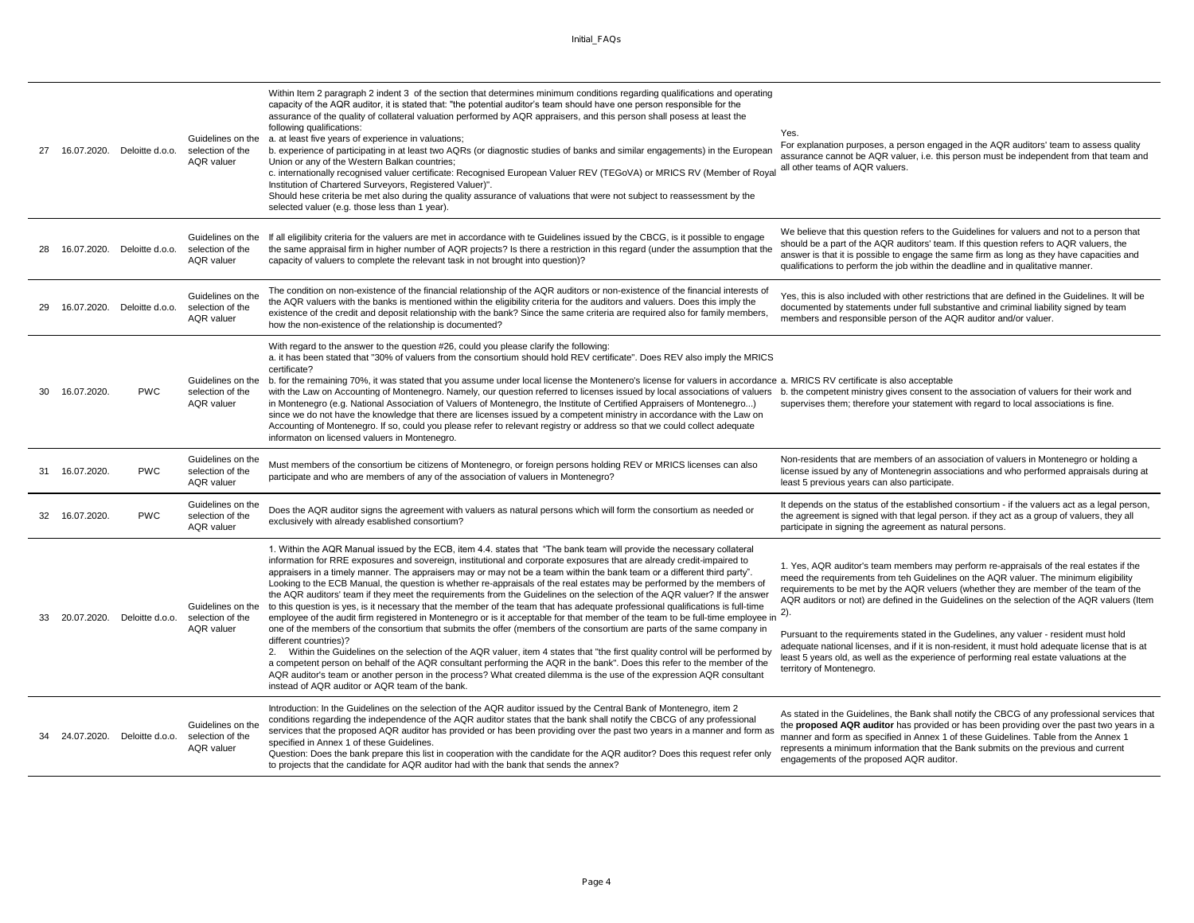| 27  |                | 16.07.2020. Deloitte d.o.o.    | Guidelines on the<br>selection of the<br><b>AQR</b> valuer | Within Item 2 paragraph 2 indent 3 of the section that determines minimum conditions regarding qualifications and operating<br>capacity of the AQR auditor, it is stated that: "the potential auditor's team should have one person responsible for the<br>assurance of the quality of collateral valuation performed by AQR appraisers, and this person shall posess at least the<br>following qualifications:<br>a. at least five years of experience in valuations;<br>b. experience of participating in at least two AQRs (or diagnostic studies of banks and similar engagements) in the European<br>Union or any of the Western Balkan countries;<br>c. internationally recognised valuer certificate: Recognised European Valuer REV (TEGoVA) or MRICS RV (Member of Royal<br>Institution of Chartered Surveyors, Registered Valuer)".<br>Should hese criteria be met also during the quality assurance of valuations that were not subject to reassessment by the<br>selected valuer (e.g. those less than 1 year).                                                                                                                                                                                                                                                                                                                                                                                                                                                                                | Yes.<br>For explanation purposes, a person engaged in the AQR auditors' team to assess quality<br>assurance cannot be AQR valuer, i.e. this person must be independent from that team and<br>all other teams of AQR valuers.                                                                                                                                                                                                                                                                                                                                                                                                                                                                        |
|-----|----------------|--------------------------------|------------------------------------------------------------|------------------------------------------------------------------------------------------------------------------------------------------------------------------------------------------------------------------------------------------------------------------------------------------------------------------------------------------------------------------------------------------------------------------------------------------------------------------------------------------------------------------------------------------------------------------------------------------------------------------------------------------------------------------------------------------------------------------------------------------------------------------------------------------------------------------------------------------------------------------------------------------------------------------------------------------------------------------------------------------------------------------------------------------------------------------------------------------------------------------------------------------------------------------------------------------------------------------------------------------------------------------------------------------------------------------------------------------------------------------------------------------------------------------------------------------------------------------------------------------------------------|-----------------------------------------------------------------------------------------------------------------------------------------------------------------------------------------------------------------------------------------------------------------------------------------------------------------------------------------------------------------------------------------------------------------------------------------------------------------------------------------------------------------------------------------------------------------------------------------------------------------------------------------------------------------------------------------------------|
|     |                | 16.07.2020. Deloitte d.o.o.    | Guidelines on the<br>selection of the<br><b>AQR</b> valuer | If all eligilibity criteria for the valuers are met in accordance with te Guidelines issued by the CBCG, is it possible to engage<br>the same appraisal firm in higher number of AQR projects? Is there a restriction in this regard (under the assumption that the<br>capacity of valuers to complete the relevant task in not brought into question)?                                                                                                                                                                                                                                                                                                                                                                                                                                                                                                                                                                                                                                                                                                                                                                                                                                                                                                                                                                                                                                                                                                                                                    | We believe that this question refers to the Guidelines for valuers and not to a person that<br>should be a part of the AQR auditors' team. If this question refers to AQR valuers, the<br>answer is that it is possible to engage the same firm as long as they have capacities and<br>qualifications to perform the job within the deadline and in qualitative manner.                                                                                                                                                                                                                                                                                                                             |
|     |                | 16.07.2020. Deloitte d.o.o.    | Guidelines on the<br>selection of the<br><b>AQR</b> valuer | The condition on non-existence of the financial relationship of the AQR auditors or non-existence of the financial interests of<br>the AQR valuers with the banks is mentioned within the eligibility criteria for the auditors and valuers. Does this imply the<br>existence of the credit and deposit relationship with the bank? Since the same criteria are required also for family members,<br>how the non-existence of the relationship is documented?                                                                                                                                                                                                                                                                                                                                                                                                                                                                                                                                                                                                                                                                                                                                                                                                                                                                                                                                                                                                                                              | Yes, this is also included with other restrictions that are defined in the Guidelines. It will be<br>documented by statements under full substantive and criminal liability signed by team<br>members and responsible person of the AQR auditor and/or valuer.                                                                                                                                                                                                                                                                                                                                                                                                                                      |
| 30. | 16.07.2020.    | <b>PWC</b>                     | Guidelines on the<br>selection of the<br><b>AQR</b> valuer | With regard to the answer to the question #26, could you please clarify the following:<br>a. it has been stated that "30% of valuers from the consortium should hold REV certificate". Does REV also imply the MRICS<br>certificate?<br>b. for the remaining 70%, it was stated that you assume under local license the Montenero's license for valuers in accordance a. MRICS RV certificate is also acceptable<br>with the Law on Accounting of Montenegro. Namely, our question referred to licenses issued by local associations of valuers b. the competent ministry gives consent to the association of valuers for their work and<br>in Montenegro (e.g. National Association of Valuers of Montenegro, the Institute of Certified Appraisers of Montenegro)<br>since we do not have the knowledge that there are licenses issued by a competent ministry in accordance with the Law on<br>Accounting of Montenegro. If so, could you please refer to relevant registry or address so that we could collect adequate<br>informaton on licensed valuers in Montenegro.                                                                                                                                                                                                                                                                                                                                                                                                                               | supervises them; therefore your statement with regard to local associations is fine.                                                                                                                                                                                                                                                                                                                                                                                                                                                                                                                                                                                                                |
| 31  | 16.07.2020.    | <b>PWC</b>                     | Guidelines on the<br>selection of the<br><b>AQR</b> valuer | Must members of the consortium be citizens of Montenegro, or foreign persons holding REV or MRICS licenses can also<br>participate and who are members of any of the association of valuers in Montenegro?                                                                                                                                                                                                                                                                                                                                                                                                                                                                                                                                                                                                                                                                                                                                                                                                                                                                                                                                                                                                                                                                                                                                                                                                                                                                                                 | Non-residents that are members of an association of valuers in Montenegro or holding a<br>license issued by any of Montenegrin associations and who performed appraisals during at<br>least 5 previous years can also participate.                                                                                                                                                                                                                                                                                                                                                                                                                                                                  |
|     | 32 16.07.2020. | <b>PWC</b>                     | Guidelines on the<br>selection of the<br>AQR valuer        | Does the AQR auditor signs the agreement with valuers as natural persons which will form the consortium as needed or<br>exclusively with already esablished consortium?                                                                                                                                                                                                                                                                                                                                                                                                                                                                                                                                                                                                                                                                                                                                                                                                                                                                                                                                                                                                                                                                                                                                                                                                                                                                                                                                    | It depends on the status of the established consortium - if the valuers act as a legal person,<br>the agreement is signed with that legal person. if they act as a group of valuers, they all<br>participate in signing the agreement as natural persons.                                                                                                                                                                                                                                                                                                                                                                                                                                           |
|     |                | 33 20.07.2020. Deloitte d.o.o. | Guidelines on the<br>selection of the<br><b>AQR</b> valuer | 1. Within the AQR Manual issued by the ECB, item 4.4. states that "The bank team will provide the necessary collateral<br>information for RRE exposures and sovereign, institutional and corporate exposures that are already credit-impaired to<br>appraisers in a timely manner. The appraisers may or may not be a team within the bank team or a different third party".<br>Looking to the ECB Manual, the question is whether re-appraisals of the real estates may be performed by the members of<br>the AQR auditors' team if they meet the requirements from the Guidelines on the selection of the AQR valuer? If the answer<br>to this question is yes, is it necessary that the member of the team that has adequate professional qualifications is full-time<br>employee of the audit firm registered in Montenegro or is it acceptable for that member of the team to be full-time employee in<br>one of the members of the consortium that submits the offer (members of the consortium are parts of the same company in<br>different countries)?<br>2. Within the Guidelines on the selection of the AQR valuer, item 4 states that "the first quality control will be performed by<br>a competent person on behalf of the AQR consultant performing the AQR in the bank". Does this refer to the member of the<br>AQR auditor's team or another person in the process? What created dilemma is the use of the expression AQR consultant<br>instead of AQR auditor or AQR team of the bank. | 1. Yes, AQR auditor's team members may perform re-appraisals of the real estates if the<br>meed the requirements from teh Guidelines on the AQR valuer. The minimum eligibility<br>requirements to be met by the AQR veluers (whether they are member of the team of the<br>AQR auditors or not) are defined in the Guidelines on the selection of the AQR valuers (Item<br>2).<br>Pursuant to the requirements stated in the Gudelines, any valuer - resident must hold<br>adequate national licenses, and if it is non-resident, it must hold adequate license that is at<br>least 5 years old, as well as the experience of performing real estate valuations at the<br>territory of Montenegro. |
|     |                | 24.07.2020. Deloitte d.o.o.    | Guidelines on the<br>selection of the<br><b>AQR</b> valuer | Introduction: In the Guidelines on the selection of the AQR auditor issued by the Central Bank of Montenegro, item 2<br>conditions regarding the independence of the AQR auditor states that the bank shall notify the CBCG of any professional<br>services that the proposed AQR auditor has provided or has been providing over the past two years in a manner and form as<br>specified in Annex 1 of these Guidelines.<br>Question: Does the bank prepare this list in cooperation with the candidate for the AQR auditor? Does this request refer only<br>to projects that the candidate for AQR auditor had with the bank that sends the annex?                                                                                                                                                                                                                                                                                                                                                                                                                                                                                                                                                                                                                                                                                                                                                                                                                                                       | As stated in the Guidelines, the Bank shall notify the CBCG of any professional services that<br>the proposed AQR auditor has provided or has been providing over the past two years in a<br>manner and form as specified in Annex 1 of these Guidelines. Table from the Annex 1<br>represents a minimum information that the Bank submits on the previous and current<br>engagements of the proposed AQR auditor.                                                                                                                                                                                                                                                                                  |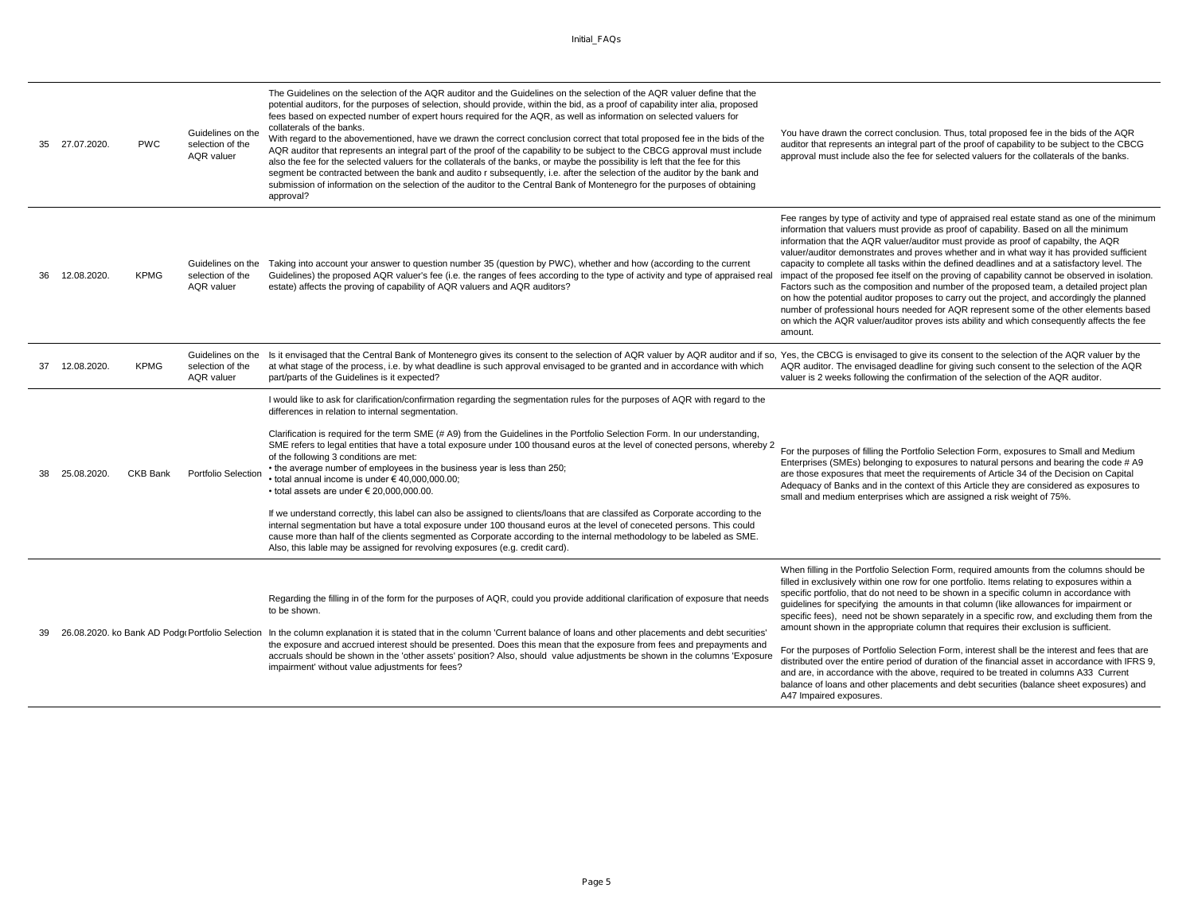| 35  | 27.07.2020. | <b>PWC</b>      | Guidelines on the<br>selection of the<br><b>AQR</b> valuer | The Guidelines on the selection of the AQR auditor and the Guidelines on the selection of the AQR valuer define that the<br>potential auditors, for the purposes of selection, should provide, within the bid, as a proof of capability inter alia, proposed<br>fees based on expected number of expert hours required for the AQR, as well as information on selected valuers for<br>collaterals of the banks.<br>With regard to the abovementioned, have we drawn the correct conclusion correct that total proposed fee in the bids of the<br>AQR auditor that represents an integral part of the proof of the capability to be subject to the CBCG approval must include<br>also the fee for the selected valuers for the collaterals of the banks, or maybe the possibility is left that the fee for this<br>segment be contracted between the bank and audito r subsequently, i.e. after the selection of the auditor by the bank and<br>submission of information on the selection of the auditor to the Central Bank of Montenegro for the purposes of obtaining<br>approval?                                                                              | You have drawn the correct conclusion. Thus, total proposed fee in the bids of the AQR<br>auditor that represents an integral part of the proof of capability to be subject to the CBCG<br>approval must include also the fee for selected valuers for the collaterals of the banks.                                                                                                                                                                                                                                                                                                                                                                                                                                                                                                                                                                                                                                                                                                       |
|-----|-------------|-----------------|------------------------------------------------------------|--------------------------------------------------------------------------------------------------------------------------------------------------------------------------------------------------------------------------------------------------------------------------------------------------------------------------------------------------------------------------------------------------------------------------------------------------------------------------------------------------------------------------------------------------------------------------------------------------------------------------------------------------------------------------------------------------------------------------------------------------------------------------------------------------------------------------------------------------------------------------------------------------------------------------------------------------------------------------------------------------------------------------------------------------------------------------------------------------------------------------------------------------------------------|--------------------------------------------------------------------------------------------------------------------------------------------------------------------------------------------------------------------------------------------------------------------------------------------------------------------------------------------------------------------------------------------------------------------------------------------------------------------------------------------------------------------------------------------------------------------------------------------------------------------------------------------------------------------------------------------------------------------------------------------------------------------------------------------------------------------------------------------------------------------------------------------------------------------------------------------------------------------------------------------|
| ารค | 12.08.2020. | <b>KPMG</b>     | Guidelines on the<br>selection of the<br><b>AQR</b> valuer | Taking into account your answer to question number 35 (question by PWC), whether and how (according to the current<br>Guidelines) the proposed AQR valuer's fee (i.e. the ranges of fees according to the type of activity and type of appraised real<br>estate) affects the proving of capability of AQR valuers and AQR auditors?                                                                                                                                                                                                                                                                                                                                                                                                                                                                                                                                                                                                                                                                                                                                                                                                                                | Fee ranges by type of activity and type of appraised real estate stand as one of the minimum<br>information that valuers must provide as proof of capability. Based on all the minimum<br>information that the AQR valuer/auditor must provide as proof of capabilty, the AQR<br>valuer/auditor demonstrates and proves whether and in what way it has provided sufficient<br>capacity to complete all tasks within the defined deadlines and at a satisfactory level. The<br>impact of the proposed fee itself on the proving of capability cannot be observed in isolation.<br>Factors such as the composition and number of the proposed team, a detailed project plan<br>on how the potential auditor proposes to carry out the project, and accordingly the planned<br>number of professional hours needed for AQR represent some of the other elements based<br>on which the AQR valuer/auditor proves ists ability and which consequently affects the fee<br>amount.                |
| 37  | 12.08.2020. | <b>KPMG</b>     | Guidelines on the<br>selection of the<br><b>AQR</b> valuer | Is it envisaged that the Central Bank of Montenegro gives its consent to the selection of AQR valuer by AQR auditor and if so,<br>at what stage of the process, i.e. by what deadline is such approval envisaged to be granted and in accordance with which<br>part/parts of the Guidelines is it expected?                                                                                                                                                                                                                                                                                                                                                                                                                                                                                                                                                                                                                                                                                                                                                                                                                                                        | Yes, the CBCG is envisaged to give its consent to the selection of the AQR valuer by the<br>AQR auditor. The envisaged deadline for giving such consent to the selection of the AQR<br>valuer is 2 weeks following the confirmation of the selection of the AQR auditor.                                                                                                                                                                                                                                                                                                                                                                                                                                                                                                                                                                                                                                                                                                                   |
|     | 25.08.2020. | <b>CKB Bank</b> | Portfolio Selection                                        | I would like to ask for clarification/confirmation regarding the segmentation rules for the purposes of AQR with regard to the<br>differences in relation to internal segmentation.<br>Clarification is required for the term SME (# A9) from the Guidelines in the Portfolio Selection Form. In our understanding,<br>SME refers to legal entities that have a total exposure under 100 thousand euros at the level of conected persons, whereby 2<br>of the following 3 conditions are met:<br>• the average number of employees in the business year is less than 250;<br>$\cdot$ total annual income is under $\in$ 40.000.000.00:<br>$\cdot$ total assets are under $\in$ 20.000.000.00.<br>If we understand correctly, this label can also be assigned to clients/loans that are classifed as Corporate according to the<br>internal segmentation but have a total exposure under 100 thousand euros at the level of coneceted persons. This could<br>cause more than half of the clients segmented as Corporate according to the internal methodology to be labeled as SME.<br>Also, this lable may be assigned for revolving exposures (e.g. credit card). | For the purposes of filling the Portfolio Selection Form, exposures to Small and Medium<br>Enterprises (SMEs) belonging to exposures to natural persons and bearing the code # A9<br>are those exposures that meet the requirements of Article 34 of the Decision on Capital<br>Adequacy of Banks and in the context of this Article they are considered as exposures to<br>small and medium enterprises which are assigned a risk weight of 75%.                                                                                                                                                                                                                                                                                                                                                                                                                                                                                                                                          |
|     |             |                 |                                                            | Regarding the filling in of the form for the purposes of AQR, could you provide additional clarification of exposure that needs<br>to be shown.<br>26.08.2020. ko Bank AD Podg(Portfolio Selection In the column explanation it is stated that in the column 'Current balance of loans and other placements and debt securities'<br>the exposure and accrued interest should be presented. Does this mean that the exposure from fees and prepayments and<br>accruals should be shown in the 'other assets' position? Also, should value adjustments be shown in the columns 'Exposure<br>impairment' without value adjustments for fees?                                                                                                                                                                                                                                                                                                                                                                                                                                                                                                                          | When filling in the Portfolio Selection Form, required amounts from the columns should be<br>filled in exclusively within one row for one portfolio. Items relating to exposures within a<br>specific portfolio, that do not need to be shown in a specific column in accordance with<br>guidelines for specifying the amounts in that column (like allowances for impairment or<br>specific fees), need not be shown separately in a specific row, and excluding them from the<br>amount shown in the appropriate column that requires their exclusion is sufficient.<br>For the purposes of Portfolio Selection Form, interest shall be the interest and fees that are<br>distributed over the entire period of duration of the financial asset in accordance with IFRS 9,<br>and are, in accordance with the above, required to be treated in columns A33 Current<br>balance of loans and other placements and debt securities (balance sheet exposures) and<br>A47 Impaired exposures. |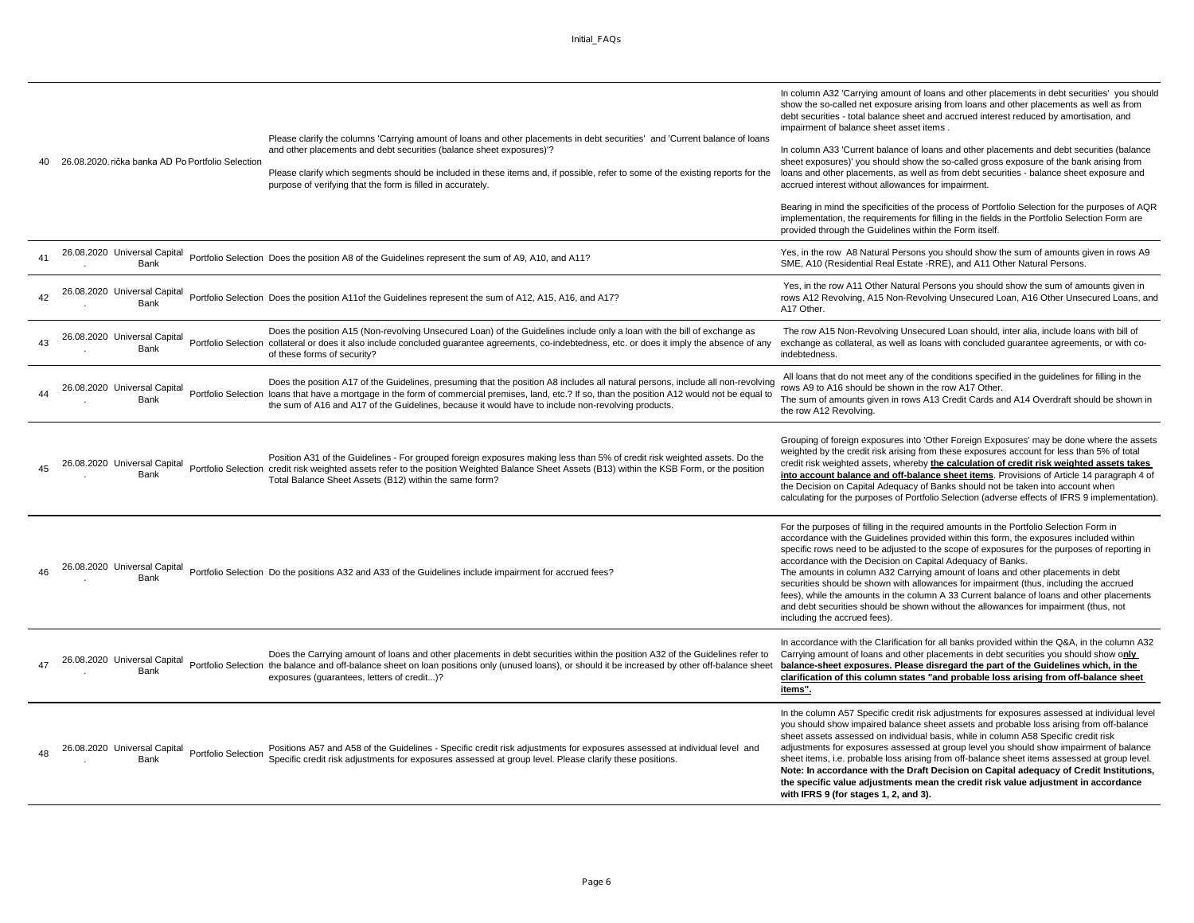|            | 26.08.2020. rička banka AD Po Portfolio Selection           | Please clarify the columns 'Carrying amount of loans and other placements in debt securities' and 'Current balance of loans<br>and other placements and debt securities (balance sheet exposures)'?<br>Please clarify which segments should be included in these items and, if possible, refer to some of the existing reports for the<br>purpose of verifying that the form is filled in accurately. | In column A32 'Carrying amount of loans and other placements in debt securities' you should<br>show the so-called net exposure arising from loans and other placements as well as from<br>debt securities - total balance sheet and accrued interest reduced by amortisation, and<br>impairment of balance sheet asset items.<br>In column A33 'Current balance of loans and other placements and debt securities (balance<br>sheet exposures)' you should show the so-called gross exposure of the bank arising from<br>loans and other placements, as well as from debt securities - balance sheet exposure and<br>accrued interest without allowances for impairment.<br>Bearing in mind the specificities of the process of Portfolio Selection for the purposes of AQR<br>implementation, the requirements for filling in the fields in the Portfolio Selection Form are<br>provided through the Guidelines within the Form itself. |
|------------|-------------------------------------------------------------|-------------------------------------------------------------------------------------------------------------------------------------------------------------------------------------------------------------------------------------------------------------------------------------------------------------------------------------------------------------------------------------------------------|------------------------------------------------------------------------------------------------------------------------------------------------------------------------------------------------------------------------------------------------------------------------------------------------------------------------------------------------------------------------------------------------------------------------------------------------------------------------------------------------------------------------------------------------------------------------------------------------------------------------------------------------------------------------------------------------------------------------------------------------------------------------------------------------------------------------------------------------------------------------------------------------------------------------------------------|
| $\Delta$ 1 | 26.08.2020 Universal Capital<br>Bank                        | Portfolio Selection Does the position A8 of the Guidelines represent the sum of A9, A10, and A11?                                                                                                                                                                                                                                                                                                     | Yes, in the row A8 Natural Persons you should show the sum of amounts given in rows A9<br>SME, A10 (Residential Real Estate -RRE), and A11 Other Natural Persons.                                                                                                                                                                                                                                                                                                                                                                                                                                                                                                                                                                                                                                                                                                                                                                        |
|            | 26.08.2020 Universal Capital<br>Bank                        | Portfolio Selection Does the position A11of the Guidelines represent the sum of A12, A15, A16, and A17?                                                                                                                                                                                                                                                                                               | Yes, in the row A11 Other Natural Persons you should show the sum of amounts given in<br>rows A12 Revolving, A15 Non-Revolving Unsecured Loan, A16 Other Unsecured Loans, and<br>A17 Other.                                                                                                                                                                                                                                                                                                                                                                                                                                                                                                                                                                                                                                                                                                                                              |
| 43         | 26.08.2020 Universal Capital<br>Bank                        | Does the position A15 (Non-revolving Unsecured Loan) of the Guidelines include only a loan with the bill of exchange as<br>Portfolio Selection collateral or does it also include concluded guarantee agreements, co-indebtedness, etc. or does it imply the absence of any<br>of these forms of security?                                                                                            | The row A15 Non-Revolving Unsecured Loan should, inter alia, include loans with bill of<br>exchange as collateral, as well as loans with concluded guarantee agreements, or with co-<br>indebtedness.                                                                                                                                                                                                                                                                                                                                                                                                                                                                                                                                                                                                                                                                                                                                    |
|            | 26.08.2020 Universal Capital<br>Bank                        | Does the position A17 of the Guidelines, presuming that the position A8 includes all natural persons, include all non-revolving<br>Portfolio Selection loans that have a mortgage in the form of commercial premises, land, etc.? If so, than the position A12 would not be equal to<br>the sum of A16 and A17 of the Guidelines, because it would have to include non-revolving products.            | All loans that do not meet any of the conditions specified in the guidelines for filling in the<br>rows A9 to A16 should be shown in the row A17 Other.<br>The sum of amounts given in rows A13 Credit Cards and A14 Overdraft should be shown in<br>the row A12 Revolving.                                                                                                                                                                                                                                                                                                                                                                                                                                                                                                                                                                                                                                                              |
| 45         | 26.08.2020 Universal Capital<br>Bank                        | Position A31 of the Guidelines - For grouped foreign exposures making less than 5% of credit risk weighted assets. Do the<br>Portfolio Selection credit risk weighted assets refer to the position Weighted Balance Sheet Assets (B13) within the KSB Form, or the position<br>Total Balance Sheet Assets (B12) within the same form?                                                                 | Grouping of foreign exposures into 'Other Foreign Exposures' may be done where the assets<br>weighted by the credit risk arising from these exposures account for less than 5% of total<br>credit risk weighted assets, whereby the calculation of credit risk weighted assets takes<br>into account balance and off-balance sheet items. Provisions of Article 14 paragraph 4 of<br>the Decision on Capital Adequacy of Banks should not be taken into account when<br>calculating for the purposes of Portfolio Selection (adverse effects of IFRS 9 implementation).                                                                                                                                                                                                                                                                                                                                                                  |
|            | 26.08.2020 Universal Capital<br>Bank                        | Portfolio Selection Do the positions A32 and A33 of the Guidelines include impairment for accrued fees?                                                                                                                                                                                                                                                                                               | For the purposes of filling in the required amounts in the Portfolio Selection Form in<br>accordance with the Guidelines provided within this form, the exposures included within<br>specific rows need to be adjusted to the scope of exposures for the purposes of reporting in<br>accordance with the Decision on Capital Adequacy of Banks.<br>The amounts in column A32 Carrying amount of loans and other placements in debt<br>securities should be shown with allowances for impairment (thus, including the accrued<br>fees), while the amounts in the column A 33 Current balance of loans and other placements<br>and debt securities should be shown without the allowances for impairment (thus, not<br>including the accrued fees).                                                                                                                                                                                        |
|            | 26.08.2020 Universal Capital<br>Bank                        | Does the Carrying amount of loans and other placements in debt securities within the position A32 of the Guidelines refer to<br>Portfolio Selection the balance and off-balance sheet on loan positions only (unused loans), or should it be increased by other off-balance sheet<br>exposures (quarantees, letters of credit)?                                                                       | In accordance with the Clarification for all banks provided within the Q&A, in the column A32<br>Carrying amount of loans and other placements in debt securities you should show only<br>balance-sheet exposures. Please disregard the part of the Guidelines which, in the<br>clarification of this column states "and probable loss arising from off-balance sheet<br>items".                                                                                                                                                                                                                                                                                                                                                                                                                                                                                                                                                         |
|            | 26.08.2020 Universal Capital<br>Portfolio Selection<br>Bank | Positions A57 and A58 of the Guidelines - Specific credit risk adjustments for exposures assessed at individual level and<br>Specific credit risk adjustments for exposures assessed at group level. Please clarify these positions.                                                                                                                                                                  | In the column A57 Specific credit risk adjustments for exposures assessed at individual level<br>you should show impaired balance sheet assets and probable loss arising from off-balance<br>sheet assets assessed on individual basis, while in column A58 Specific credit risk<br>adjustments for exposures assessed at group level you should show impairment of balance<br>sheet items, i.e. probable loss arising from off-balance sheet items assessed at group level.<br>Note: In accordance with the Draft Decision on Capital adequacy of Credit Institutions,<br>the specific value adjustments mean the credit risk value adjustment in accordance<br>with IFRS 9 (for stages 1, 2, and 3).                                                                                                                                                                                                                                   |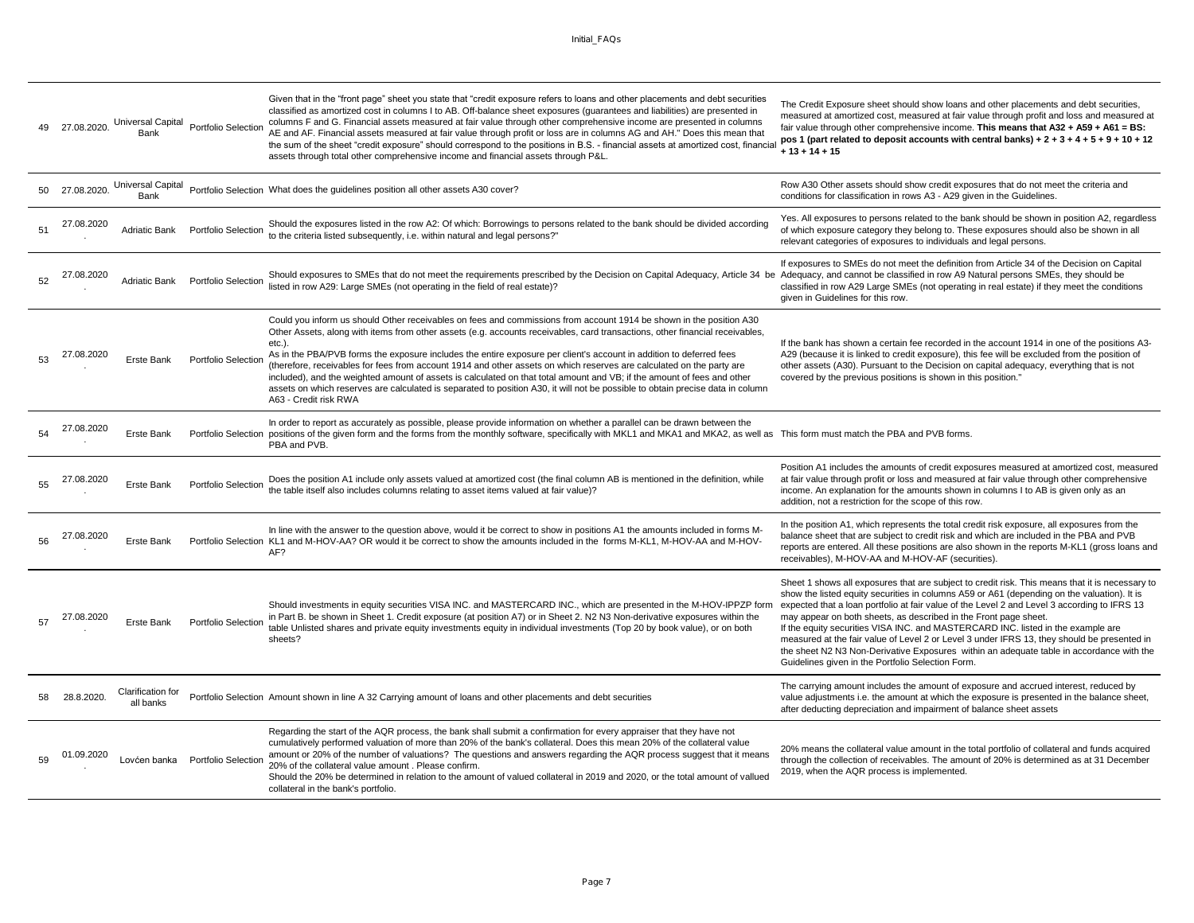|    | 27.08.2020.    | Universal Capital<br>Bank      | Portfolio Selection        | Given that in the "front page" sheet you state that "credit exposure refers to loans and other placements and debt securities<br>classified as amortized cost in columns I to AB. Off-balance sheet exposures (guarantees and liabilities) are presented in<br>columns F and G. Financial assets measured at fair value through other comprehensive income are presented in columns<br>AE and AF. Financial assets measured at fair value through profit or loss are in columns AG and AH." Does this mean that<br>the sum of the sheet "credit exposure" should correspond to the positions in B.S. - financial assets at amortized cost, financia<br>assets through total other comprehensive income and financial assets through P&L.                                                            | The Credit Exposure sheet should show loans and other placements and debt securities,<br>measured at amortized cost, measured at fair value through profit and loss and measured at<br>fair value through other comprehensive income. This means that $A32 + A59 + A61 = BS$ :<br>pos 1 (part related to deposit accounts with central banks) + $2 + 3 + 4 + 5 + 9 + 10 + 12$<br>$+13 + 14 + 15$                                                                                                                                                                                                                                                                                                       |
|----|----------------|--------------------------------|----------------------------|-----------------------------------------------------------------------------------------------------------------------------------------------------------------------------------------------------------------------------------------------------------------------------------------------------------------------------------------------------------------------------------------------------------------------------------------------------------------------------------------------------------------------------------------------------------------------------------------------------------------------------------------------------------------------------------------------------------------------------------------------------------------------------------------------------|--------------------------------------------------------------------------------------------------------------------------------------------------------------------------------------------------------------------------------------------------------------------------------------------------------------------------------------------------------------------------------------------------------------------------------------------------------------------------------------------------------------------------------------------------------------------------------------------------------------------------------------------------------------------------------------------------------|
|    | 50 27.08.2020. | Universal Capital<br>Bank      |                            | Portfolio Selection What does the guidelines position all other assets A30 cover?                                                                                                                                                                                                                                                                                                                                                                                                                                                                                                                                                                                                                                                                                                                   | Row A30 Other assets should show credit exposures that do not meet the criteria and<br>conditions for classification in rows A3 - A29 given in the Guidelines.                                                                                                                                                                                                                                                                                                                                                                                                                                                                                                                                         |
| 51 | 27.08.2020     | <b>Adriatic Bank</b>           | Portfolio Selection        | Should the exposures listed in the row A2: Of which: Borrowings to persons related to the bank should be divided according<br>to the criteria listed subsequently, i.e. within natural and legal persons?"                                                                                                                                                                                                                                                                                                                                                                                                                                                                                                                                                                                          | Yes. All exposures to persons related to the bank should be shown in position A2, regardless<br>of which exposure category they belong to. These exposures should also be shown in all<br>relevant categories of exposures to individuals and legal persons.                                                                                                                                                                                                                                                                                                                                                                                                                                           |
| 52 | 27.08.2020     | Adriatic Bank                  | Portfolio Selection        | Should exposures to SMEs that do not meet the requirements prescribed by the Decision on Capital Adequacy, Article 34 be Adequacy, and cannot be classified in row A9 Natural persons SMEs, they should be<br>listed in row A29: Large SMEs (not operating in the field of real estate)?                                                                                                                                                                                                                                                                                                                                                                                                                                                                                                            | If exposures to SMEs do not meet the definition from Article 34 of the Decision on Capital<br>classified in row A29 Large SMEs (not operating in real estate) if they meet the conditions<br>given in Guidelines for this row.                                                                                                                                                                                                                                                                                                                                                                                                                                                                         |
| 53 | 27.08.2020     | Erste Bank                     | Portfolio Selection        | Could you inform us should Other receivables on fees and commissions from account 1914 be shown in the position A30<br>Other Assets, along with items from other assets (e.g. accounts receivables, card transactions, other financial receivables,<br>etc.).<br>As in the PBA/PVB forms the exposure includes the entire exposure per client's account in addition to deferred fees<br>(therefore, receivables for fees from account 1914 and other assets on which reserves are calculated on the party are<br>included), and the weighted amount of assets is calculated on that total amount and VB; if the amount of fees and other<br>assets on which reserves are calculated is separated to position A30, it will not be possible to obtain precise data in column<br>A63 - Credit risk RWA | If the bank has shown a certain fee recorded in the account 1914 in one of the positions A3-<br>A29 (because it is linked to credit exposure), this fee will be excluded from the position of<br>other assets (A30). Pursuant to the Decision on capital adequacy, everything that is not<br>covered by the previous positions is shown in this position."                                                                                                                                                                                                                                                                                                                                             |
|    | 27.08.2020     | Erste Bank                     |                            | In order to report as accurately as possible, please provide information on whether a parallel can be drawn between the<br>Portfolio Selection positions of the given form and the forms from the monthly software, specifically with MKL1 and MKA1 and MKA2, as well as This form must match the PBA and PVB forms.<br>PBA and PVB.                                                                                                                                                                                                                                                                                                                                                                                                                                                                |                                                                                                                                                                                                                                                                                                                                                                                                                                                                                                                                                                                                                                                                                                        |
| 55 | 27.08.2020     | Erste Bank                     | Portfolio Selection        | Does the position A1 include only assets valued at amortized cost (the final column AB is mentioned in the definition, while<br>the table itself also includes columns relating to asset items valued at fair value)?                                                                                                                                                                                                                                                                                                                                                                                                                                                                                                                                                                               | Position A1 includes the amounts of credit exposures measured at amortized cost, measured<br>at fair value through profit or loss and measured at fair value through other comprehensive<br>income. An explanation for the amounts shown in columns I to AB is given only as an<br>addition, not a restriction for the scope of this row.                                                                                                                                                                                                                                                                                                                                                              |
| 56 | 27.08.2020     | Erste Bank                     |                            | In line with the answer to the question above, would it be correct to show in positions A1 the amounts included in forms M-<br>Portfolio Selection KL1 and M-HOV-AA? OR would it be correct to show the amounts included in the forms M-KL1, M-HOV-AA and M-HOV-<br>AF?                                                                                                                                                                                                                                                                                                                                                                                                                                                                                                                             | In the position A1, which represents the total credit risk exposure, all exposures from the<br>balance sheet that are subject to credit risk and which are included in the PBA and PVB<br>reports are entered. All these positions are also shown in the reports M-KL1 (gross loans and<br>receivables), M-HOV-AA and M-HOV-AF (securities).                                                                                                                                                                                                                                                                                                                                                           |
|    | 08.2020        | Erste Bank                     | Portfolio Selection        | Should investments in equity securities VISA INC. and MASTERCARD INC., which are presented in the M-HOV-IPPZP form<br>in Part B. be shown in Sheet 1. Credit exposure (at position A7) or in Sheet 2. N2 N3 Non-derivative exposures within the<br>table Unlisted shares and private equity investments equity in individual investments (Top 20 by book value), or on both<br>sheets?                                                                                                                                                                                                                                                                                                                                                                                                              | Sheet 1 shows all exposures that are subject to credit risk. This means that it is necessary to<br>show the listed equity securities in columns A59 or A61 (depending on the valuation). It is<br>expected that a loan portfolio at fair value of the Level 2 and Level 3 according to IFRS 13<br>may appear on both sheets, as described in the Front page sheet.<br>If the equity securities VISA INC. and MASTERCARD INC. listed in the example are<br>measured at the fair value of Level 2 or Level 3 under IFRS 13, they should be presented in<br>the sheet N2 N3 Non-Derivative Exposures within an adequate table in accordance with the<br>Guidelines given in the Portfolio Selection Form. |
| 58 | 28.8.2020.     | Clarification for<br>all banks |                            | Portfolio Selection Amount shown in line A 32 Carrying amount of loans and other placements and debt securities                                                                                                                                                                                                                                                                                                                                                                                                                                                                                                                                                                                                                                                                                     | The carrying amount includes the amount of exposure and accrued interest, reduced by<br>value adjustments i.e. the amount at which the exposure is presented in the balance sheet,<br>after deducting depreciation and impairment of balance sheet assets                                                                                                                                                                                                                                                                                                                                                                                                                                              |
| 59 | 01.09.2020     | Lovćen banka                   | <b>Portfolio Selection</b> | Regarding the start of the AQR process, the bank shall submit a confirmation for every appraiser that they have not<br>cumulatively performed valuation of more than 20% of the bank's collateral. Does this mean 20% of the collateral value<br>amount or 20% of the number of valuations? The questions and answers regarding the AQR process suggest that it means<br>20% of the collateral value amount. Please confirm.<br>Should the 20% be determined in relation to the amount of valued collateral in 2019 and 2020, or the total amount of vallued<br>collateral in the bank's portfolio.                                                                                                                                                                                                 | 20% means the collateral value amount in the total portfolio of collateral and funds acquired<br>through the collection of receivables. The amount of 20% is determined as at 31 December<br>2019, when the AQR process is implemented.                                                                                                                                                                                                                                                                                                                                                                                                                                                                |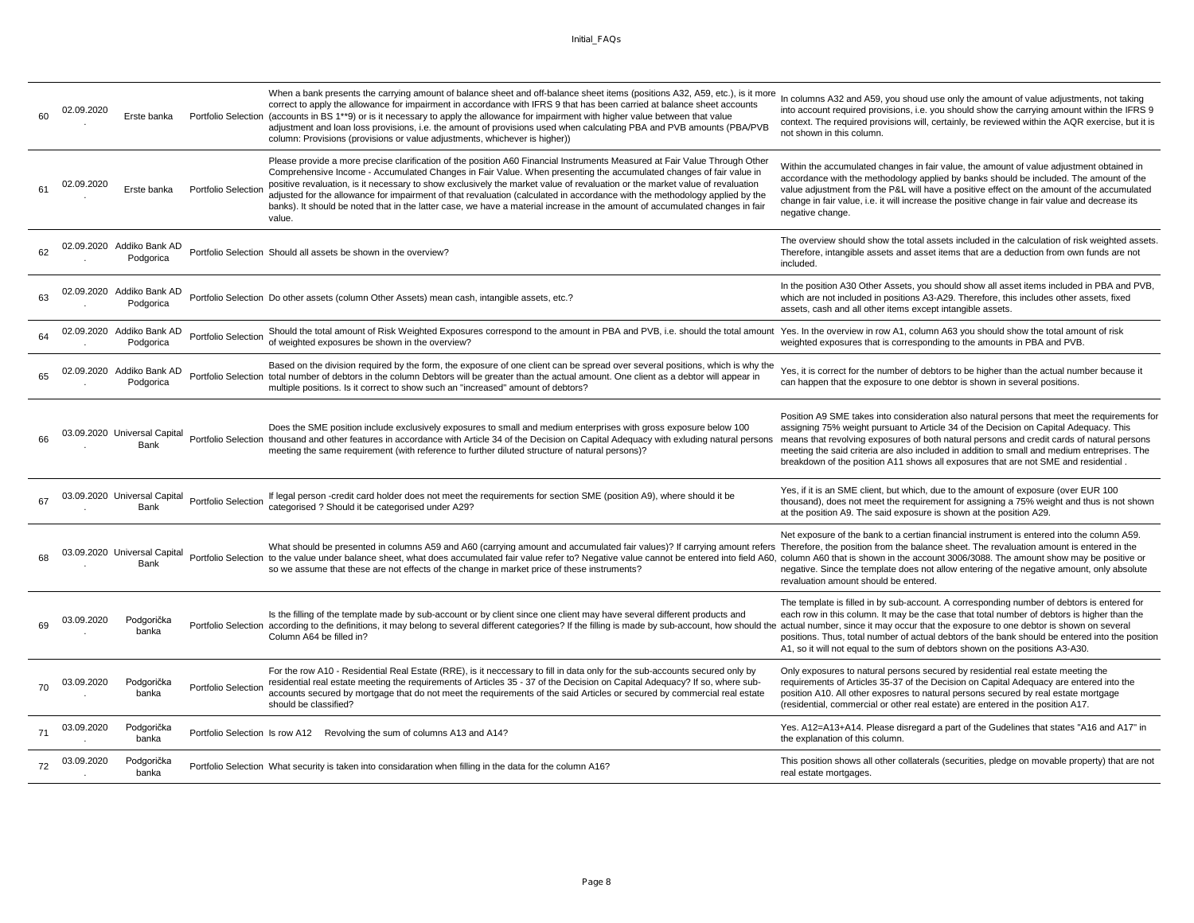|    | 02.09.2020 | Erste banka                            |                     | When a bank presents the carrying amount of balance sheet and off-balance sheet items (positions A32, A59, etc.), is it more<br>correct to apply the allowance for impairment in accordance with IFRS 9 that has been carried at balance sheet accounts<br>Portfolio Selection (accounts in BS 1**9) or is it necessary to apply the allowance for impairment with higher value between that value<br>adjustment and loan loss provisions, i.e. the amount of provisions used when calculating PBA and PVB amounts (PBA/PVB<br>column: Provisions (provisions or value adjustments, whichever is higher))                                                 | In columns A32 and A59, you shoud use only the amount of value adjustments, not taking<br>into account required provisions, i.e. you should show the carrying amount within the IFRS 9<br>context. The required provisions will, certainly, be reviewed within the AQR exercise, but it is<br>not shown in this column.                                                                                                                                                   |
|----|------------|----------------------------------------|---------------------|-----------------------------------------------------------------------------------------------------------------------------------------------------------------------------------------------------------------------------------------------------------------------------------------------------------------------------------------------------------------------------------------------------------------------------------------------------------------------------------------------------------------------------------------------------------------------------------------------------------------------------------------------------------|---------------------------------------------------------------------------------------------------------------------------------------------------------------------------------------------------------------------------------------------------------------------------------------------------------------------------------------------------------------------------------------------------------------------------------------------------------------------------|
| 61 | 02.09.2020 | Erste banka                            | Portfolio Selection | Please provide a more precise clarification of the position A60 Financial Instruments Measured at Fair Value Through Other<br>Comprehensive Income - Accumulated Changes in Fair Value. When presenting the accumulated changes of fair value in<br>positive revaluation, is it necessary to show exclusively the market value of revaluation or the market value of revaluation<br>adjusted for the allowance for impairment of that revaluation (calculated in accordance with the methodology applied by the<br>banks). It should be noted that in the latter case, we have a material increase in the amount of accumulated changes in fair<br>value. | Within the accumulated changes in fair value, the amount of value adjustment obtained in<br>accordance with the methodology applied by banks should be included. The amount of the<br>value adjustment from the P&L will have a positive effect on the amount of the accumulated<br>change in fair value, i.e. it will increase the positive change in fair value and decrease its<br>negative change.                                                                    |
| 62 |            | 02.09.2020 Addiko Bank AD<br>Podgorica |                     | Portfolio Selection Should all assets be shown in the overview?                                                                                                                                                                                                                                                                                                                                                                                                                                                                                                                                                                                           | The overview should show the total assets included in the calculation of risk weighted assets.<br>Therefore, intangible assets and asset items that are a deduction from own funds are not<br>included.                                                                                                                                                                                                                                                                   |
|    |            | 02.09.2020 Addiko Bank AD<br>Podgorica |                     | Portfolio Selection Do other assets (column Other Assets) mean cash, intangible assets, etc.?                                                                                                                                                                                                                                                                                                                                                                                                                                                                                                                                                             | In the position A30 Other Assets, you should show all asset items included in PBA and PVB,<br>which are not included in positions A3-A29. Therefore, this includes other assets, fixed<br>assets, cash and all other items except intangible assets.                                                                                                                                                                                                                      |
|    |            | 02.09.2020 Addiko Bank AD<br>Podgorica | Portfolio Selection | Should the total amount of Risk Weighted Exposures correspond to the amount in PBA and PVB, i.e. should the total amount Yes. In the overview in row A1, column A63 you should show the total amount of risk<br>of weighted exposures be shown in the overview?                                                                                                                                                                                                                                                                                                                                                                                           | weighted exposures that is corresponding to the amounts in PBA and PVB.                                                                                                                                                                                                                                                                                                                                                                                                   |
| 65 |            | 02.09.2020 Addiko Bank AD<br>Podgorica |                     | Based on the division required by the form, the exposure of one client can be spread over several positions, which is why the<br>Portfolio Selection total number of debtors in the column Debtors will be greater than the actual amount. One client as a debtor will appear in<br>multiple positions. Is it correct to show such an "increased" amount of debtors?                                                                                                                                                                                                                                                                                      | Yes, it is correct for the number of debtors to be higher than the actual number because it<br>can happen that the exposure to one debtor is shown in several positions.                                                                                                                                                                                                                                                                                                  |
| 66 |            | 03.09.2020 Universal Capital<br>Bank   |                     | Does the SME position include exclusively exposures to small and medium enterprises with gross exposure below 100<br>Portfolio Selection thousand and other features in accordance with Article 34 of the Decision on Capital Adequacy with exluding natural persons<br>meeting the same requirement (with reference to further diluted structure of natural persons)?                                                                                                                                                                                                                                                                                    | Position A9 SME takes into consideration also natural persons that meet the requirements for<br>assigning 75% weight pursuant to Article 34 of the Decision on Capital Adequacy. This<br>means that revolving exposures of both natural persons and credit cards of natural persons<br>meeting the said criteria are also included in addition to small and medium entreprises. The<br>breakdown of the position A11 shows all exposures that are not SME and residential |
|    |            | 03.09.2020 Universal Capital<br>Bank   | Portfolio Selection | If legal person -credit card holder does not meet the requirements for section SME (position A9), where should it be<br>categorised ? Should it be categorised under A29?                                                                                                                                                                                                                                                                                                                                                                                                                                                                                 | Yes, if it is an SME client, but which, due to the amount of exposure (over EUR 100<br>thousand), does not meet the requirement for assigning a 75% weight and thus is not shown<br>at the position A9. The said exposure is shown at the position A29.                                                                                                                                                                                                                   |
|    |            | 03.09.2020 Universal Capital<br>Bank   |                     | What should be presented in columns A59 and A60 (carrying amount and accumulated fair values)? If carrying amount refers Therefore, the position from the balance sheet. The revaluation amount is entered in the<br>Portfolio Selection to the value under balance sheet, what does accumulated fair value refer to? Negative value cannot be entered into field A60, column A60 that is shown in the account 3006/3088. The amount show may be po<br>so we assume that these are not effects of the change in market price of these instruments?                                                                                                        | Net exposure of the bank to a certian financial instrument is entered into the column A59.<br>negative. Since the template does not allow entering of the negative amount, only absolute<br>revaluation amount should be entered.                                                                                                                                                                                                                                         |
|    | 03.09.2020 | Podgorička<br>banka                    |                     | Is the filling of the template made by sub-account or by client since one client may have several different products and<br>Portfolio Selection according to the definitions, it may belong to several different categories? If the filling is made by sub-account, how should the actual number, since it may occur that the exposure to one debtor is sh<br>Column A64 be filled in?                                                                                                                                                                                                                                                                    | The template is filled in by sub-account. A corresponding number of debtors is entered for<br>each row in this column. It may be the case that total number of debtors is higher than the<br>positions. Thus, total number of actual debtors of the bank should be entered into the position<br>A1, so it will not equal to the sum of debtors shown on the positions A3-A30.                                                                                             |
| 70 | 03.09.2020 | Podgorička<br>banka                    | Portfolio Selection | For the row A10 - Residential Real Estate (RRE), is it neccessary to fill in data only for the sub-accounts secured only by<br>residential real estate meeting the requirements of Articles 35 - 37 of the Decision on Capital Adequacy? If so, where sub-<br>accounts secured by mortgage that do not meet the requirements of the said Articles or secured by commercial real estate<br>should be classified?                                                                                                                                                                                                                                           | Only exposures to natural persons secured by residential real estate meeting the<br>requirements of Articles 35-37 of the Decision on Capital Adequacy are entered into the<br>position A10. All other exposres to natural persons secured by real estate mortgage<br>(residential, commercial or other real estate) are entered in the position A17.                                                                                                                     |
| 71 | 03.09.2020 | Podgorička<br>banka                    |                     | Portfolio Selection Is row A12 Revolving the sum of columns A13 and A14?                                                                                                                                                                                                                                                                                                                                                                                                                                                                                                                                                                                  | Yes. A12=A13+A14. Please disregard a part of the Gudelines that states "A16 and A17" in<br>the explanation of this column.                                                                                                                                                                                                                                                                                                                                                |
| 72 | 03.09.2020 | Podgorička<br>banka                    |                     | Portfolio Selection What security is taken into considaration when filling in the data for the column A16?                                                                                                                                                                                                                                                                                                                                                                                                                                                                                                                                                | This position shows all other collaterals (securities, pledge on movable property) that are not<br>real estate mortgages.                                                                                                                                                                                                                                                                                                                                                 |
|    |            |                                        |                     |                                                                                                                                                                                                                                                                                                                                                                                                                                                                                                                                                                                                                                                           |                                                                                                                                                                                                                                                                                                                                                                                                                                                                           |